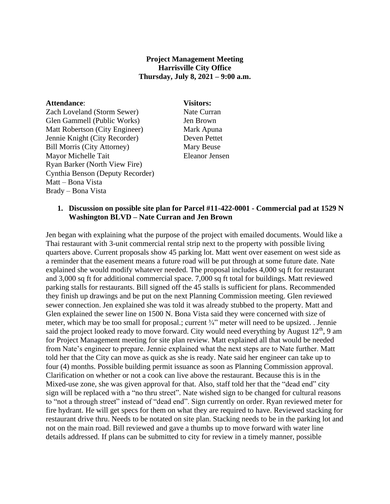## **Project Management Meeting Harrisville City Office Thursday, July 8, 2021 – 9:00 a.m.**

#### **Attendance**: **Visitors:**

Zach Loveland (Storm Sewer) Nate Curran Glen Gammell (Public Works) Jen Brown Matt Robertson (City Engineer) Mark Apuna Jennie Knight (City Recorder) Deven Pettet Bill Morris (City Attorney) Mary Beuse Mayor Michelle Tait Eleanor Jensen Ryan Barker (North View Fire) Cynthia Benson (Deputy Recorder) Matt – Bona Vista Brady – Bona Vista

### **1. Discussion on possible site plan for Parcel #11-422-0001 - Commercial pad at 1529 N Washington BLVD – Nate Curran and Jen Brown**

Jen began with explaining what the purpose of the project with emailed documents. Would like a Thai restaurant with 3-unit commercial rental strip next to the property with possible living quarters above. Current proposals show 45 parking lot. Matt went over easement on west side as a reminder that the easement means a future road will be put through at some future date. Nate explained she would modify whatever needed. The proposal includes 4,000 sq ft for restaurant and 3,000 sq ft for additional commercial space. 7,000 sq ft total for buildings. Matt reviewed parking stalls for restaurants. Bill signed off the 45 stalls is sufficient for plans. Recommended they finish up drawings and be put on the next Planning Commission meeting. Glen reviewed sewer connection. Jen explained she was told it was already stubbed to the property. Matt and Glen explained the sewer line on 1500 N. Bona Vista said they were concerned with size of meter, which may be too small for proposal.; current ¾" meter will need to be upsized. . Jennie said the project looked ready to move forward. City would need everything by August  $12<sup>th</sup>$ , 9 am for Project Management meeting for site plan review. Matt explained all that would be needed from Nate's engineer to prepare. Jennie explained what the next steps are to Nate further. Matt told her that the City can move as quick as she is ready. Nate said her engineer can take up to four (4) months. Possible building permit issuance as soon as Planning Commission approval. Clarification on whether or not a cook can live above the restaurant. Because this is in the Mixed-use zone, she was given approval for that. Also, staff told her that the "dead end" city sign will be replaced with a "no thru street". Nate wished sign to be changed for cultural reasons to "not a through street" instead of "dead end". Sign currently on order. Ryan reviewed meter for fire hydrant. He will get specs for them on what they are required to have. Reviewed stacking for restaurant drive thru. Needs to be notated on site plan. Stacking needs to be in the parking lot and not on the main road. Bill reviewed and gave a thumbs up to move forward with water line details addressed. If plans can be submitted to city for review in a timely manner, possible